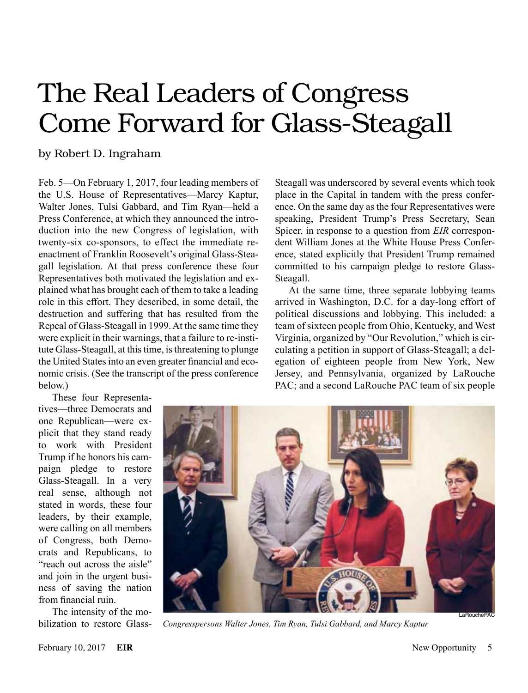## The Real Leaders of Congress Come Forward for Glass-Steagall

## by Robert D. Ingraham

Feb. 5—On February 1, 2017, four leading members of the U.S. House of Representatives—Marcy Kaptur, Walter Jones, Tulsi Gabbard, and Tim Ryan—held a Press Conference, at which they announced the introduction into the new Congress of legislation, with twenty-six co-sponsors, to effect the immediate reenactment of Franklin Roosevelt's original Glass-Steagall legislation. At that press conference these four Representatives both motivated the legislation and explained what has brought each of them to take a leading role in this effort. They described, in some detail, the destruction and suffering that has resulted from the Repeal of Glass-Steagall in 1999. At the same time they were explicit in their warnings, that a failure to re-institute Glass-Steagall, at this time, is threatening to plunge the United States into an even greater financial and economic crisis. (See the transcript of the press conference below.)

Steagall was underscored by several events which took place in the Capital in tandem with the press conference. On the same day as the four Representatives were speaking, President Trump's Press Secretary, Sean Spicer, in response to a question from *EIR* correspondent William Jones at the White House Press Conference, stated explicitly that President Trump remained committed to his campaign pledge to restore Glass-Steagall.

At the same time, three separate lobbying teams arrived in Washington, D.C. for a day-long effort of political discussions and lobbying. This included: a team of sixteen people from Ohio, Kentucky, and West Virginia, organized by "Our Revolution," which is circulating a petition in support of Glass-Steagall; a delegation of eighteen people from New York, New Jersey, and Pennsylvania, organized by LaRouche PAC; and a second LaRouche PAC team of six people

These four Representatives—three Democrats and one Republican—were explicit that they stand ready to work with President Trump if he honors his campaign pledge to restore Glass-Steagall. In a very real sense, although not stated in words, these four leaders, by their example, were calling on all members of Congress, both Democrats and Republicans, to "reach out across the aisle" and join in the urgent business of saving the nation from financial ruin.

The intensity of the mobilization to restore Glass-



*Congresspersons Walter Jones, Tim Ryan, Tulsi Gabbard, and Marcy Kaptur*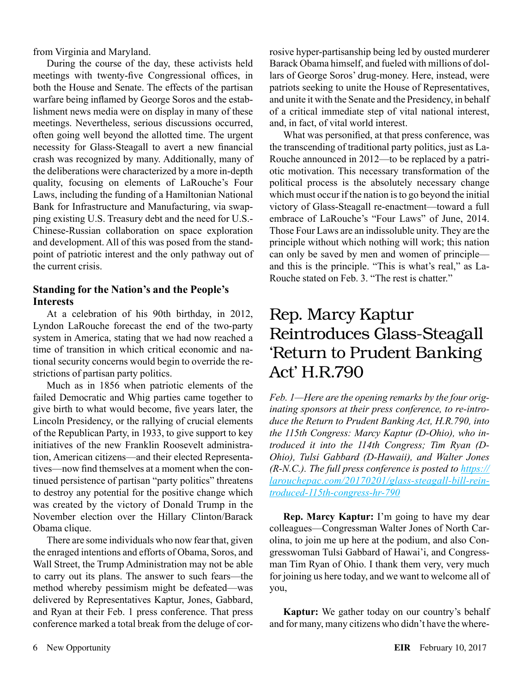from Virginia and Maryland.

During the course of the day, these activists held meetings with twenty-five Congressional offices, in both the House and Senate. The effects of the partisan warfare being inflamed by George Soros and the establishment news media were on display in many of these meetings. Nevertheless, serious discussions occurred, often going well beyond the allotted time. The urgent necessity for Glass-Steagall to avert a new financial crash was recognized by many. Additionally, many of the deliberations were characterized by a more in-depth quality, focusing on elements of LaRouche's Four Laws, including the funding of a Hamiltonian National Bank for Infrastructure and Manufacturing, via swapping existing U.S. Treasury debt and the need for U.S.- Chinese-Russian collaboration on space exploration and development. All of this was posed from the standpoint of patriotic interest and the only pathway out of the current crisis.

## **Standing for the Nation's and the People's Interests**

At a celebration of his 90th birthday, in 2012, Lyndon LaRouche forecast the end of the two-party system in America, stating that we had now reached a time of transition in which critical economic and national security concerns would begin to override the restrictions of partisan party politics.

Much as in 1856 when patriotic elements of the failed Democratic and Whig parties came together to give birth to what would become, five years later, the Lincoln Presidency, or the rallying of crucial elements of the Republican Party, in 1933, to give support to key initiatives of the new Franklin Roosevelt administration, American citizens—and their elected Representatives—now find themselves at a moment when the continued persistence of partisan "party politics" threatens to destroy any potential for the positive change which was created by the victory of Donald Trump in the November election over the Hillary Clinton/Barack Obama clique.

There are some individuals who now fear that, given the enraged intentions and efforts of Obama, Soros, and Wall Street, the Trump Administration may not be able to carry out its plans. The answer to such fears—the method whereby pessimism might be defeated—was delivered by Representatives Kaptur, Jones, Gabbard, and Ryan at their Feb. 1 press conference. That press conference marked a total break from the deluge of corrosive hyper-partisanship being led by ousted murderer Barack Obama himself, and fueled with millions of dollars of George Soros' drug-money. Here, instead, were patriots seeking to unite the House of Representatives, and unite it with the Senate and the Presidency, in behalf of a critical immediate step of vital national interest, and, in fact, of vital world interest.

What was personified, at that press conference, was the transcending of traditional party politics, just as La-Rouche announced in 2012—to be replaced by a patriotic motivation. This necessary transformation of the political process is the absolutely necessary change which must occur if the nation is to go beyond the initial victory of Glass-Steagall re-enactment—toward a full embrace of LaRouche's "Four Laws" of June, 2014. Those Four Laws are an indissoluble unity. They are the principle without which nothing will work; this nation can only be saved by men and women of principle and this is the principle. "This is what's real," as La-Rouche stated on Feb. 3. "The rest is chatter."

## Rep. Marcy Kaptur Reintroduces Glass-Steagall 'Return to Prudent Banking Act' H.R.790

*Feb. 1—Here are the opening remarks by the four originating sponsors at their press conference, to re-introduce the Return to Prudent Banking Act, H.R.790, into the 115th Congress: Marcy Kaptur (D-Ohio), who introduced it into the 114th Congress; Tim Ryan (D-Ohio), Tulsi Gabbard (D-Hawaii), and Walter Jones (R-N.C.). The full press conference is posted to [https://](https://larouchepac.com/20170201/glass-steagall-bill-reintroduced-115th-congress-hr-790) [larouchepac.com/20170201/glass-steagall-bill-rein](https://larouchepac.com/20170201/glass-steagall-bill-reintroduced-115th-congress-hr-790)[troduced-115th-congress-hr-790](https://larouchepac.com/20170201/glass-steagall-bill-reintroduced-115th-congress-hr-790)*

**Rep. Marcy Kaptur:** I'm going to have my dear colleagues—Congressman Walter Jones of North Carolina, to join me up here at the podium, and also Congresswoman Tulsi Gabbard of Hawai'i, and Congressman Tim Ryan of Ohio. I thank them very, very much for joining us here today, and we want to welcome all of you,

**Kaptur:** We gather today on our country's behalf and for many, many citizens who didn't have the where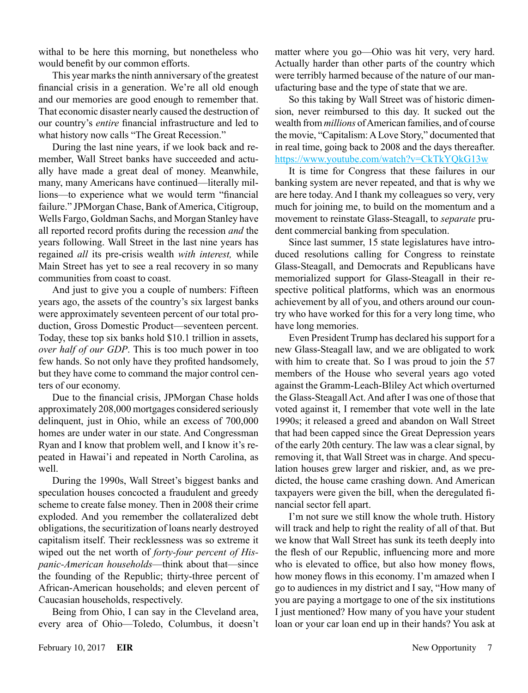withal to be here this morning, but nonetheless who would benefit by our common efforts.

This year marks the ninth anniversary of the greatest financial crisis in a generation. We're all old enough and our memories are good enough to remember that. That economic disaster nearly caused the destruction of our country's *entire* financial infrastructure and led to what history now calls "The Great Recession."

During the last nine years, if we look back and remember, Wall Street banks have succeeded and actually have made a great deal of money. Meanwhile, many, many Americans have continued—literally millions—to experience what we would term "financial failure." JPMorgan Chase, Bank of America, Citigroup, Wells Fargo, Goldman Sachs, and Morgan Stanley have all reported record profits during the recession *and* the years following. Wall Street in the last nine years has regained *all* its pre-crisis wealth *with interest,* while Main Street has yet to see a real recovery in so many communities from coast to coast.

And just to give you a couple of numbers: Fifteen years ago, the assets of the country's six largest banks were approximately seventeen percent of our total production, Gross Domestic Product—seventeen percent. Today, these top six banks hold \$10.1 trillion in assets, *over half of our GDP*. This is too much power in too few hands. So not only have they profited handsomely, but they have come to command the major control centers of our economy.

Due to the financial crisis, JPMorgan Chase holds approximately 208,000 mortgages considered seriously delinquent, just in Ohio, while an excess of 700,000 homes are under water in our state. And Congressman Ryan and I know that problem well, and I know it's repeated in Hawai'i and repeated in North Carolina, as well.

During the 1990s, Wall Street's biggest banks and speculation houses concocted a fraudulent and greedy scheme to create false money. Then in 2008 their crime exploded. And you remember the collateralized debt obligations, the securitization of loans nearly destroyed capitalism itself. Their recklessness was so extreme it wiped out the net worth of *forty-four percent of Hispanic-American households*—think about that—since the founding of the Republic; thirty-three percent of African-American households; and eleven percent of Caucasian households, respectively.

Being from Ohio, I can say in the Cleveland area, every area of Ohio—Toledo, Columbus, it doesn't matter where you go—Ohio was hit very, very hard. Actually harder than other parts of the country which were terribly harmed because of the nature of our manufacturing base and the type of state that we are.

So this taking by Wall Street was of historic dimension, never reimbursed to this day. It sucked out the wealth from *millions* of American families, and of course the movie, "Capitalism: A Love Story," documented that in real time, going back to 2008 and the days thereafter. <https://www.youtube.com/watch?v=CkTkYQkG13w>

It is time for Congress that these failures in our banking system are never repeated, and that is why we are here today. And I thank my colleagues so very, very much for joining me, to build on the momentum and a movement to reinstate Glass-Steagall, to *separate* prudent commercial banking from speculation.

Since last summer, 15 state legislatures have introduced resolutions calling for Congress to reinstate Glass-Steagall, and Democrats and Republicans have memorialized support for Glass-Steagall in their respective political platforms, which was an enormous achievement by all of you, and others around our country who have worked for this for a very long time, who have long memories.

Even President Trump has declared his support for a new Glass-Steagall law, and we are obligated to work with him to create that. So I was proud to join the 57 members of the House who several years ago voted against the Gramm-Leach-Bliley Act which overturned the Glass-Steagall Act. And after I was one of those that voted against it, I remember that vote well in the late 1990s; it released a greed and abandon on Wall Street that had been capped since the Great Depression years of the early 20th century. The law was a clear signal, by removing it, that Wall Street was in charge. And speculation houses grew larger and riskier, and, as we predicted, the house came crashing down. And American taxpayers were given the bill, when the deregulated financial sector fell apart.

I'm not sure we still know the whole truth. History will track and help to right the reality of all of that. But we know that Wall Street has sunk its teeth deeply into the flesh of our Republic, influencing more and more who is elevated to office, but also how money flows, how money flows in this economy. I'm amazed when I go to audiences in my district and I say, "How many of you are paying a mortgage to one of the six institutions I just mentioned? How many of you have your student loan or your car loan end up in their hands? You ask at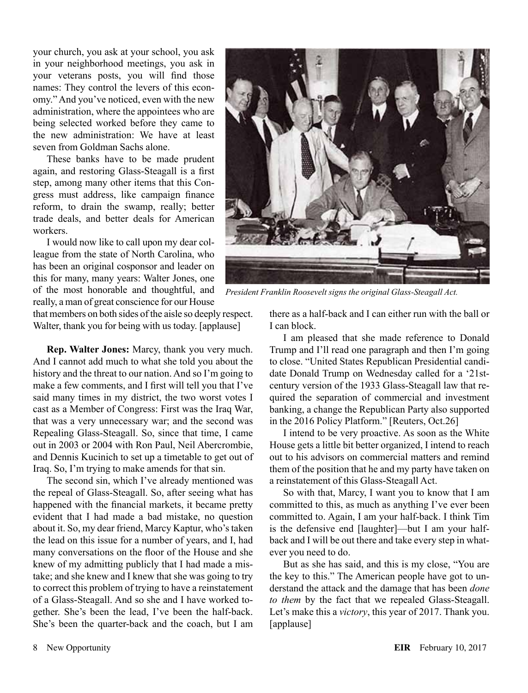your church, you ask at your school, you ask in your neighborhood meetings, you ask in your veterans posts, you will find those names: They control the levers of this economy." And you've noticed, even with the new administration, where the appointees who are being selected worked before they came to the new administration: We have at least seven from Goldman Sachs alone.

These banks have to be made prudent again, and restoring Glass-Steagall is a first step, among many other items that this Congress must address, like campaign finance reform, to drain the swamp, really; better trade deals, and better deals for American workers.

I would now like to call upon my dear colleague from the state of North Carolina, who has been an original cosponsor and leader on this for many, many years: Walter Jones, one of the most honorable and thoughtful, and really, a man of great conscience for our House

that members on both sides of the aisle so deeply respect. Walter, thank you for being with us today. [applause]

**Rep. Walter Jones:** Marcy, thank you very much. And I cannot add much to what she told you about the history and the threat to our nation. And so I'm going to make a few comments, and I first will tell you that I've said many times in my district, the two worst votes I cast as a Member of Congress: First was the Iraq War, that was a very unnecessary war; and the second was Repealing Glass-Steagall. So, since that time, I came out in 2003 or 2004 with Ron Paul, Neil Abercrombie, and Dennis Kucinich to set up a timetable to get out of Iraq. So, I'm trying to make amends for that sin.

The second sin, which I've already mentioned was the repeal of Glass-Steagall. So, after seeing what has happened with the financial markets, it became pretty evident that I had made a bad mistake, no question about it. So, my dear friend, Marcy Kaptur, who's taken the lead on this issue for a number of years, and I, had many conversations on the floor of the House and she knew of my admitting publicly that I had made a mistake; and she knew and I knew that she was going to try to correct this problem of trying to have a reinstatement of a Glass-Steagall. And so she and I have worked together. She's been the lead, I've been the half-back. She's been the quarter-back and the coach, but I am



*President Franklin Roosevelt signs the original Glass-Steagall Act.*

there as a half-back and I can either run with the ball or I can block.

I am pleased that she made reference to Donald Trump and I'll read one paragraph and then I'm going to close. "United States Republican Presidential candidate Donald Trump on Wednesday called for a '21stcentury version of the 1933 Glass-Steagall law that required the separation of commercial and investment banking, a change the Republican Party also supported in the 2016 Policy Platform." [Reuters, Oct.26]

I intend to be very proactive. As soon as the White House gets a little bit better organized, I intend to reach out to his advisors on commercial matters and remind them of the position that he and my party have taken on a reinstatement of this Glass-Steagall Act.

So with that, Marcy, I want you to know that I am committed to this, as much as anything I've ever been committed to. Again, I am your half-back. I think Tim is the defensive end [laughter]—but I am your halfback and I will be out there and take every step in whatever you need to do.

But as she has said, and this is my close, "You are the key to this." The American people have got to understand the attack and the damage that has been *done to them* by the fact that we repealed Glass-Steagall. Let's make this a *victory*, this year of 2017. Thank you. [applause]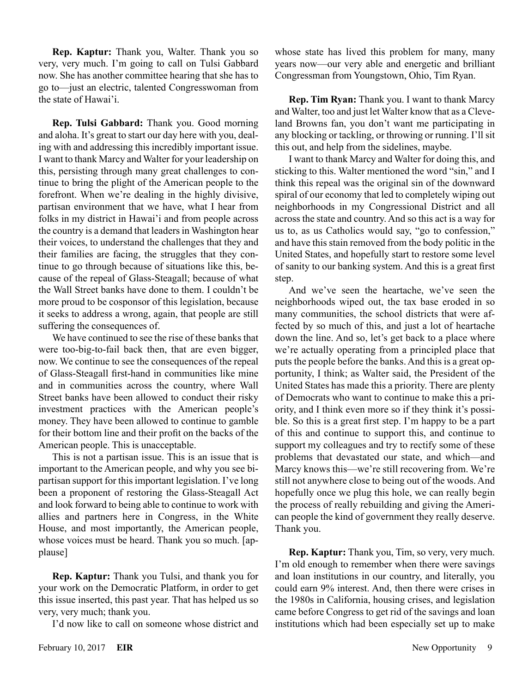**Rep. Kaptur:** Thank you, Walter. Thank you so very, very much. I'm going to call on Tulsi Gabbard now. She has another committee hearing that she has to go to—just an electric, talented Congresswoman from the state of Hawai'i.

**Rep. Tulsi Gabbard:** Thank you. Good morning and aloha. It's great to start our day here with you, dealing with and addressing this incredibly important issue. I want to thank Marcy and Walter for your leadership on this, persisting through many great challenges to continue to bring the plight of the American people to the forefront. When we're dealing in the highly divisive, partisan environment that we have, what I hear from folks in my district in Hawai'i and from people across the country is a demand that leaders in Washington hear their voices, to understand the challenges that they and their families are facing, the struggles that they continue to go through because of situations like this, because of the repeal of Glass-Steagall; because of what the Wall Street banks have done to them. I couldn't be more proud to be cosponsor of this legislation, because it seeks to address a wrong, again, that people are still suffering the consequences of.

We have continued to see the rise of these banks that were too-big-to-fail back then, that are even bigger, now. We continue to see the consequences of the repeal of Glass-Steagall first-hand in communities like mine and in communities across the country, where Wall Street banks have been allowed to conduct their risky investment practices with the American people's money. They have been allowed to continue to gamble for their bottom line and their profit on the backs of the American people. This is unacceptable.

This is not a partisan issue. This is an issue that is important to the American people, and why you see bipartisan support for this important legislation. I've long been a proponent of restoring the Glass-Steagall Act and look forward to being able to continue to work with allies and partners here in Congress, in the White House, and most importantly, the American people, whose voices must be heard. Thank you so much. [applause]

**Rep. Kaptur:** Thank you Tulsi, and thank you for your work on the Democratic Platform, in order to get this issue inserted, this past year. That has helped us so very, very much; thank you.

I'd now like to call on someone whose district and

whose state has lived this problem for many, many years now—our very able and energetic and brilliant Congressman from Youngstown, Ohio, Tim Ryan.

**Rep. Tim Ryan:** Thank you. I want to thank Marcy and Walter, too and just let Walter know that as a Cleveland Browns fan, you don't want me participating in any blocking or tackling, or throwing or running. I'll sit this out, and help from the sidelines, maybe.

I want to thank Marcy and Walter for doing this, and sticking to this. Walter mentioned the word "sin," and I think this repeal was the original sin of the downward spiral of our economy that led to completely wiping out neighborhoods in my Congressional District and all across the state and country. And so this act is a way for us to, as us Catholics would say, "go to confession," and have this stain removed from the body politic in the United States, and hopefully start to restore some level of sanity to our banking system. And this is a great first step.

And we've seen the heartache, we've seen the neighborhoods wiped out, the tax base eroded in so many communities, the school districts that were affected by so much of this, and just a lot of heartache down the line. And so, let's get back to a place where we're actually operating from a principled place that puts the people before the banks. And this is a great opportunity, I think; as Walter said, the President of the United States has made this a priority. There are plenty of Democrats who want to continue to make this a priority, and I think even more so if they think it's possible. So this is a great first step. I'm happy to be a part of this and continue to support this, and continue to support my colleagues and try to rectify some of these problems that devastated our state, and which—and Marcy knows this—we're still recovering from. We're still not anywhere close to being out of the woods. And hopefully once we plug this hole, we can really begin the process of really rebuilding and giving the American people the kind of government they really deserve. Thank you.

**Rep. Kaptur:** Thank you, Tim, so very, very much. I'm old enough to remember when there were savings and loan institutions in our country, and literally, you could earn 9% interest. And, then there were crises in the 1980s in California, housing crises, and legislation came before Congress to get rid of the savings and loan institutions which had been especially set up to make